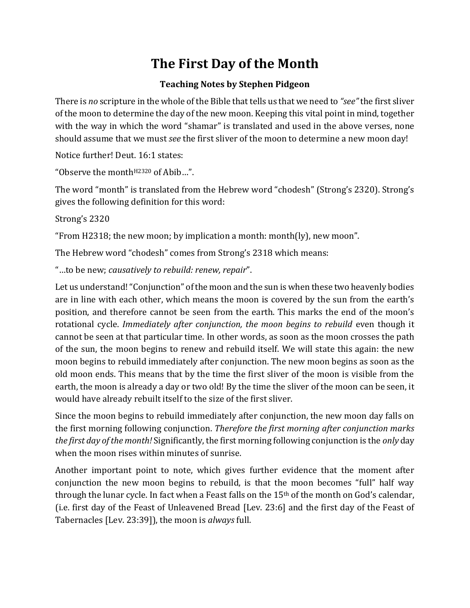# **The First Day of the Month**

## **Teaching Notes by Stephen Pidgeon**

There is *no* scripture in the whole of the Bible that tells us that we need to *"see"* the first sliver of the moon to determine the day of the new moon. Keeping this vital point in mind, together with the way in which the word "shamar" is translated and used in the above verses, none should assume that we must *see* the first sliver of the moon to determine a new moon day!

Notice further! Deut. 16:1 states:

"Observe the month<sup>H2320</sup> of Abib...".

The word "month" is translated from the Hebrew word "chodesh" (Strong's 2320). Strong's gives the following definition for this word:

Strong's 2320

"From H2318; the new moon; by implication a month: month(ly), new moon".

The Hebrew word "chodesh" comes from Strong's 2318 which means:

"…to be new; *causatively to rebuild: renew, repair*".

Let us understand! "Conjunction" of the moon and the sun is when these two heavenly bodies are in line with each other, which means the moon is covered by the sun from the earth's position, and therefore cannot be seen from the earth. This marks the end of the moon's rotational cycle. *Immediately after conjunction, the moon begins to rebuild* even though it cannot be seen at that particular time. In other words, as soon as the moon crosses the path of the sun, the moon begins to renew and rebuild itself. We will state this again: the new moon begins to rebuild immediately after conjunction. The new moon begins as soon as the old moon ends. This means that by the time the first sliver of the moon is visible from the earth, the moon is already a day or two old! By the time the sliver of the moon can be seen, it would have already rebuilt itself to the size of the first sliver.

Since the moon begins to rebuild immediately after conjunction, the new moon day falls on the first morning following conjunction. *Therefore the first morning after conjunction marks the first day of the month!*Significantly, the first morning following conjunction is the *only* day when the moon rises within minutes of sunrise.

Another important point to note, which gives further evidence that the moment after conjunction the new moon begins to rebuild, is that the moon becomes "full" half way through the lunar cycle. In fact when a Feast falls on the 15th of the month on God's calendar, (i.e. first day of the Feast of Unleavened Bread [Lev. 23:6] and the first day of the Feast of Tabernacles [Lev. 23:39]), the moon is *always* full.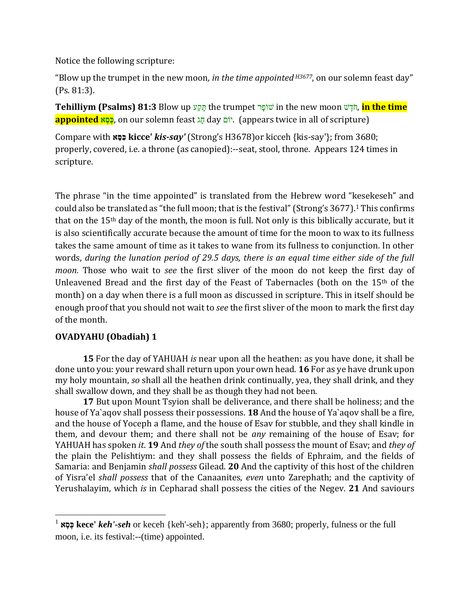Notice the following scripture:

"Blow up the trumpet in the new moon*, in the time appointed H3677*, on our solemn feast day" (Ps. 81:3).

**Tehilliym (Psalms) 81:3** Blow האָע the trumpet שׁוֹפִר in the new moon הֹדשׁ, **in the time appointed <u>se</u>**, on our solemn feast הַג day ויֹם (appears twice in all of scripture)

Compare with **כ ִּס ֵּא kicce'** *kis-say'* (Strong's H3678)or kicceh {kis-say'}; from 3680; properly, covered, i.e. a throne (as canopied):--seat, stool, throne. Appears 124 times in scripture.

The phrase "in the time appointed" is translated from the Hebrew word "kesekeseh" and could also be translated as "the full moon; that is the festival" (Strong's 3677).<sup>1</sup> This confirms that on the 15th day of the month, the moon is full. Not only is this biblically accurate, but it is also scientifically accurate because the amount of time for the moon to wax to its fullness takes the same amount of time as it takes to wane from its fullness to conjunction. In other words, *during the lunation period of 29.5 days, there is an equal time either side of the full moon.* Those who wait to *see* the first sliver of the moon do not keep the first day of Unleavened Bread and the first day of the Feast of Tabernacles (both on the 15th of the month) on a day when there is a full moon as discussed in scripture. This in itself should be enough proof that you should not wait to *see* the first sliver of the moon to mark the first day of the month.

### **OVADYAHU (Obadiah) 1**

 $\overline{a}$ 

**15** For the day of YAHUAH *is* near upon all the heathen: as you have done, it shall be done unto you: your reward shall return upon your own head. **16** For as ye have drunk upon my holy mountain, *so* shall all the heathen drink continually, yea, they shall drink, and they shall swallow down, and they shall be as though they had not been.

**17** But upon Mount Tsyion shall be deliverance, and there shall be holiness; and the house of Ya`aqov shall possess their possessions. **18** And the house of Ya`aqov shall be a fire, and the house of Yoceph a flame, and the house of Esav for stubble, and they shall kindle in them, and devour them; and there shall not be *any* remaining of the house of Esav; for YAHUAH has spoken *it*. **19** And *they of* the south shall possess the mount of Esav; and *they of* the plain the Pelishtiym: and they shall possess the fields of Ephraim, and the fields of Samaria: and Benjamin *shall possess* Gilead. **20** And the captivity of this host of the children of Yisra'el *shall possess* that of the Canaanites, *even* unto Zarephath; and the captivity of Yerushalayim, which *is* in Cepharad shall possess the cities of the Negev. **21** And saviours

<sup>1</sup> **כ ֶּס ֶּא kece'** *keh'-seh* or keceh {keh'-seh}; apparently from 3680; properly, fulness or the full moon, i.e. its festival:--(time) appointed.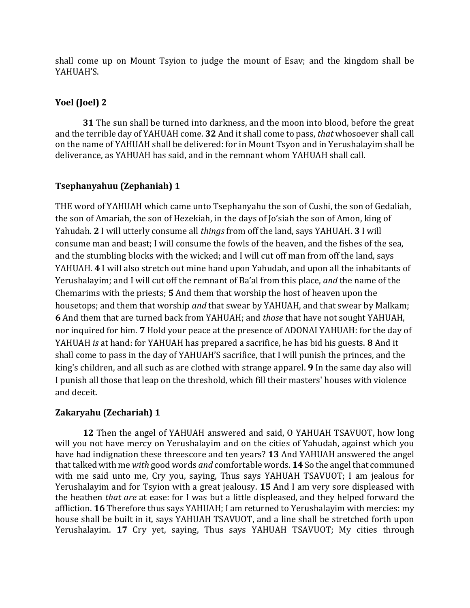shall come up on Mount Tsyion to judge the mount of Esav; and the kingdom shall be YAHUAH'S.

### **Yoel (Joel) 2**

**31** The sun shall be turned into darkness, and the moon into blood, before the great and the terrible day of YAHUAH come. **32** And it shall come to pass, *that* whosoever shall call on the name of YAHUAH shall be delivered: for in Mount Tsyon and in Yerushalayim shall be deliverance, as YAHUAH has said, and in the remnant whom YAHUAH shall call.

### **Tsephanyahuu (Zephaniah) 1**

THE word of YAHUAH which came unto Tsephanyahu the son of Cushi, the son of Gedaliah, the son of Amariah, the son of Hezekiah, in the days of Jo'siah the son of Amon, king of Yahudah. **2** I will utterly consume all *things* from off the land, says YAHUAH. **3** I will consume man and beast; I will consume the fowls of the heaven, and the fishes of the sea, and the stumbling blocks with the wicked; and I will cut off man from off the land, says YAHUAH. **4** I will also stretch out mine hand upon Yahudah, and upon all the inhabitants of Yerushalayim; and I will cut off the remnant of Ba'al from this place, *and* the name of the Chemarims with the priests; **5** And them that worship the host of heaven upon the housetops; and them that worship *and* that swear by YAHUAH, and that swear by Malkam; **6** And them that are turned back from YAHUAH; and *those* that have not sought YAHUAH, nor inquired for him. **7** Hold your peace at the presence of ADONAI YAHUAH: for the day of YAHUAH *is* at hand: for YAHUAH has prepared a sacrifice, he has bid his guests. **8** And it shall come to pass in the day of YAHUAH'S sacrifice, that I will punish the princes, and the king's children, and all such as are clothed with strange apparel. **9** In the same day also will I punish all those that leap on the threshold, which fill their masters' houses with violence and deceit.

### **Zakaryahu (Zechariah) 1**

**12** Then the angel of YAHUAH answered and said, O YAHUAH TSAVUOT, how long will you not have mercy on Yerushalayim and on the cities of Yahudah, against which you have had indignation these threescore and ten years? **13** And YAHUAH answered the angel that talked with me *with* good words *and* comfortable words. **14** So the angel that communed with me said unto me, Cry you, saying, Thus says YAHUAH TSAVUOT; I am jealous for Yerushalayim and for Tsyion with a great jealousy. **15** And I am very sore displeased with the heathen *that are* at ease: for I was but a little displeased, and they helped forward the affliction. **16** Therefore thus says YAHUAH; I am returned to Yerushalayim with mercies: my house shall be built in it, says YAHUAH TSAVUOT, and a line shall be stretched forth upon Yerushalayim. **17** Cry yet, saying, Thus says YAHUAH TSAVUOT; My cities through